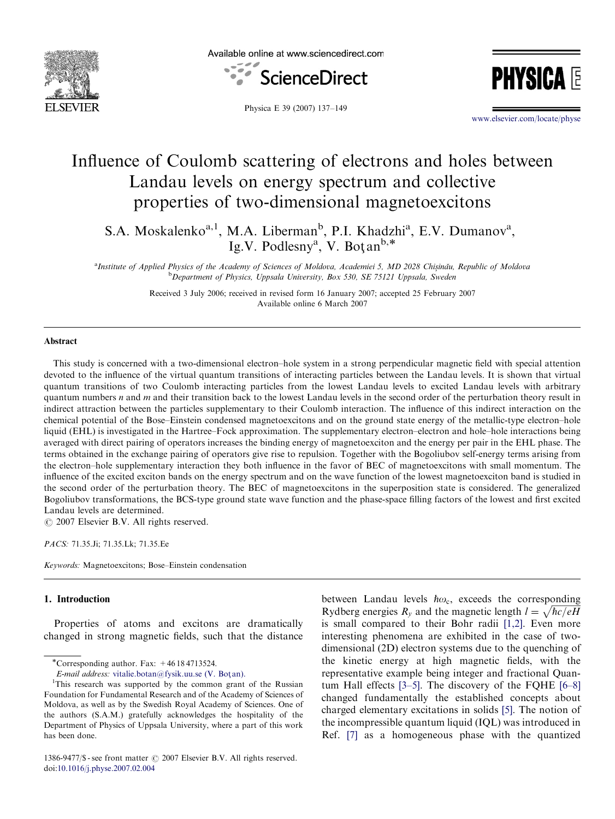

Available online at www.sciencedirect.com



**PHYSICA** 

Physica E 39 (2007) 137–149

<www.elsevier.com/locate/physe>

# Influence of Coulomb scattering of electrons and holes between Landau levels on energy spectrum and collective properties of two-dimensional magnetoexcitons

S.A. Moskalenko<sup>a, 1</sup>, M.A. Liberman<sup>b</sup>, P.I. Khadzhi<sup>a</sup>, E.V. Dumanov<sup>a</sup>, Ig.V. Podlesny<sup>a</sup>, V. Bot $_{\text{an}}$ <sup>b,\*</sup>

a<br>Institute of Applied Physics of the Academy of Sciences of Moldova, Academiei 5, MD 2028 Chişinău, Republic of Moldova <sup>b</sup>Department of Physics, Uppsala University, Box 530, SE 75121 Uppsala, Sweden

> Received 3 July 2006; received in revised form 16 January 2007; accepted 25 February 2007 Available online 6 March 2007

#### Abstract

This study is concerned with a two-dimensional electron–hole system in a strong perpendicular magnetic field with special attention devoted to the influence of the virtual quantum transitions of interacting particles between the Landau levels. It is shown that virtual quantum transitions of two Coulomb interacting particles from the lowest Landau levels to excited Landau levels with arbitrary quantum numbers  $n$  and  $m$  and their transition back to the lowest Landau levels in the second order of the perturbation theory result in indirect attraction between the particles supplementary to their Coulomb interaction. The influence of this indirect interaction on the chemical potential of the Bose–Einstein condensed magnetoexcitons and on the ground state energy of the metallic-type electron–hole liquid (EHL) is investigated in the Hartree–Fock approximation. The supplementary electron–electron and hole–hole interactions being averaged with direct pairing of operators increases the binding energy of magnetoexciton and the energy per pair in the EHL phase. The terms obtained in the exchange pairing of operators give rise to repulsion. Together with the Bogoliubov self-energy terms arising from the electron–hole supplementary interaction they both influence in the favor of BEC of magnetoexcitons with small momentum. The influence of the excited exciton bands on the energy spectrum and on the wave function of the lowest magnetoexciton band is studied in the second order of the perturbation theory. The BEC of magnetoexcitons in the superposition state is considered. The generalized Bogoliubov transformations, the BCS-type ground state wave function and the phase-space filling factors of the lowest and first excited Landau levels are determined.

 $C$  2007 Elsevier B.V. All rights reserved.

PACS: 71.35.Ji; 71.35.Lk; 71.35.Ee

Keywords: Magnetoexcitons; Bose–Einstein condensation

# 1. Introduction

Properties of atoms and excitons are dramatically changed in strong magnetic fields, such that the distance

-Corresponding author. Fax: +46 18 4713524.

E-mail address: vitalie.botan@fysik.uu.se (V. Boţ[an\).](mailto:vitalie.botan@fysik.uu.se)

between Landau levels  $\hbar \omega_c$ , exceeds the corresponding Rydberg energies  $R_y$  and the magnetic length  $l = \sqrt{\hbar c/eH}$ is small compared to their Bohr radii [\[1,2\]](#page-11-0). Even more interesting phenomena are exhibited in the case of twodimensional (2D) electron systems due to the quenching of the kinetic energy at high magnetic fields, with the representative example being integer and fractional Quantum Hall effects [\[3–5\].](#page-11-0) The discovery of the FQHE [\[6–8\]](#page-11-0) changed fundamentally the established concepts about charged elementary excitations in solids [\[5\].](#page-11-0) The notion of the incompressible quantum liquid (IQL) was introduced in Ref. [\[7\]](#page-11-0) as a homogeneous phase with the quantized

<sup>&</sup>lt;sup>1</sup>This research was supported by the common grant of the Russian Foundation for Fundamental Research and of the Academy of Sciences of Moldova, as well as by the Swedish Royal Academy of Sciences. One of the authors (S.A.M.) gratefully acknowledges the hospitality of the Department of Physics of Uppsala University, where a part of this work has been done.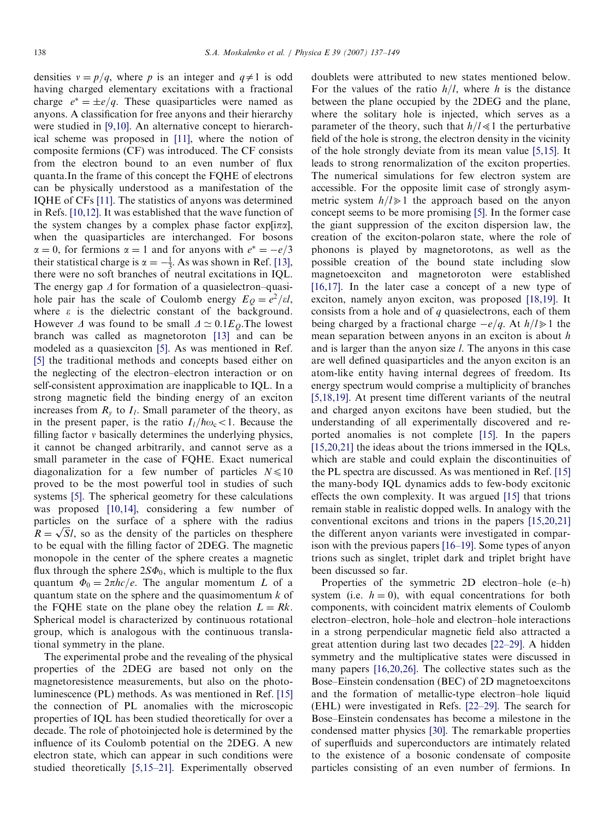densities  $v = p/q$ , where p is an integer and  $q \neq 1$  is odd having charged elementary excitations with a fractional charge  $e^* = \pm e/q$ . These quasiparticles were named as anyons. A classification for free anyons and their hierarchy were studied in [\[9,10\]](#page-11-0). An alternative concept to hierarchical scheme was proposed in [\[11\]](#page-11-0), where the notion of composite fermions (CF) was introduced. The CF consists from the electron bound to an even number of flux quanta.In the frame of this concept the FQHE of electrons can be physically understood as a manifestation of the IQHE of CFs [\[11\]](#page-11-0). The statistics of anyons was determined in Refs. [\[10,12\].](#page-11-0) It was established that the wave function of the system changes by a complex phase factor explines, when the quasiparticles are interchanged. For bosons  $\alpha = 0$ , for fermions  $\alpha = 1$  and for anyons with  $e^* = -e/3$ their statistical charge is  $\alpha = -\frac{1}{3}$ . As was shown in Ref. [\[13\]](#page-11-0), there were no soft branches of neutral excitations in IQL. The energy gap  $\Delta$  for formation of a quasielectron–quasihole pair has the scale of Coulomb energy  $E_0 = e^2/el$ , where  $\varepsilon$  is the dielectric constant of the background. However  $\Delta$  was found to be small  $\Delta \simeq 0.1E<sub>0</sub>$ . The lowest branch was called as magnetoroton [\[13\]](#page-11-0) and can be modeled as a quasiexciton [\[5\]](#page-11-0). As was mentioned in Ref. [\[5\]](#page-11-0) the traditional methods and concepts based either on the neglecting of the electron–electron interaction or on self-consistent approximation are inapplicable to IQL. In a strong magnetic field the binding energy of an exciton increases from  $R<sub>v</sub>$  to  $I<sub>l</sub>$ . Small parameter of the theory, as in the present paper, is the ratio  $I_1/\hbar\omega_c$  < 1. Because the filling factor  $\nu$  basically determines the underlying physics, it cannot be changed arbitrarily, and cannot serve as a small parameter in the case of FQHE. Exact numerical diagonalization for a few number of particles  $N \le 10$ proved to be the most powerful tool in studies of such systems [\[5\]](#page-11-0). The spherical geometry for these calculations was proposed [\[10,14\],](#page-11-0) considering a few number of particles on the surface of a sphere with the radius particles on the surface of a sphere with the radius  $R = \sqrt{S}l$ , so as the density of the particles on thesphere to be equal with the filling factor of 2DEG. The magnetic monopole in the center of the sphere creates a magnetic flux through the sphere  $2S\Phi_0$ , which is multiple to the flux quantum  $\Phi_0 = 2\pi hc/e$ . The angular momentum L of a quantum state on the sphere and the quasimomentum  $k$  of the FQHE state on the plane obey the relation  $L = Rk$ . Spherical model is characterized by continuous rotational group, which is analogous with the continuous translational symmetry in the plane.

The experimental probe and the revealing of the physical properties of the 2DEG are based not only on the magnetoresistence measurements, but also on the photoluminescence (PL) methods. As was mentioned in Ref. [\[15\]](#page-11-0) the connection of PL anomalies with the microscopic properties of IQL has been studied theoretically for over a decade. The role of photoinjected hole is determined by the influence of its Coulomb potential on the 2DEG. A new electron state, which can appear in such conditions were studied theoretically [\[5,15–21\]](#page-11-0). Experimentally observed

doublets were attributed to new states mentioned below. For the values of the ratio  $h/l$ , where h is the distance between the plane occupied by the 2DEG and the plane, where the solitary hole is injected, which serves as a parameter of the theory, such that  $h/l \ll 1$  the perturbative field of the hole is strong, the electron density in the vicinity of the hole strongly deviate from its mean value [\[5,15\]](#page-11-0). It leads to strong renormalization of the exciton properties. The numerical simulations for few electron system are accessible. For the opposite limit case of strongly asymmetric system  $h/l \ge 1$  the approach based on the anyon concept seems to be more promising [\[5\].](#page-11-0) In the former case the giant suppression of the exciton dispersion law, the creation of the exciton-polaron state, where the role of phonons is played by magnetorotons, as well as the possible creation of the bound state including slow magnetoexciton and magnetoroton were established [\[16,17\].](#page-11-0) In the later case a concept of a new type of exciton, namely anyon exciton, was proposed [\[18,19\]](#page-11-0). It consists from a hole and of  $q$  quasielectrons, each of them being charged by a fractional charge  $-e/q$ . At  $h/l \ge 1$  the mean separation between anyons in an exciton is about  $h$ and is larger than the anyon size l. The anyons in this case are well defined quasiparticles and the anyon exciton is an atom-like entity having internal degrees of freedom. Its energy spectrum would comprise a multiplicity of branches [\[5,18,19\]](#page-11-0). At present time different variants of the neutral and charged anyon excitons have been studied, but the understanding of all experimentally discovered and reported anomalies is not complete [\[15\].](#page-11-0) In the papers [\[15,20,21\]](#page-11-0) the ideas about the trions immersed in the IQLs, which are stable and could explain the discontinuities of the PL spectra are discussed. As was mentioned in Ref. [\[15\]](#page-11-0) the many-body IQL dynamics adds to few-body excitonic effects the own complexity. It was argued [\[15\]](#page-11-0) that trions remain stable in realistic dopped wells. In analogy with the conventional excitons and trions in the papers [\[15,20,21\]](#page-11-0) the different anyon variants were investigated in comparison with the previous papers [\[16–19\].](#page-11-0) Some types of anyon trions such as singlet, triplet dark and triplet bright have been discussed so far.

Properties of the symmetric 2D electron–hole (e–h) system (i.e.  $h = 0$ ), with equal concentrations for both components, with coincident matrix elements of Coulomb electron–electron, hole–hole and electron–hole interactions in a strong perpendicular magnetic field also attracted a great attention during last two decades [\[22–29\].](#page-11-0) A hidden symmetry and the multiplicative states were discussed in many papers [\[16,20,26\].](#page-11-0) The collective states such as the Bose–Einstein condensation (BEC) of 2D magnetoexcitons and the formation of metallic-type electron–hole liquid (EHL) were investigated in Refs. [\[22–29\]](#page-11-0). The search for Bose–Einstein condensates has become a milestone in the condensed matter physics [\[30\]](#page-11-0). The remarkable properties of superfluids and superconductors are intimately related to the existence of a bosonic condensate of composite particles consisting of an even number of fermions. In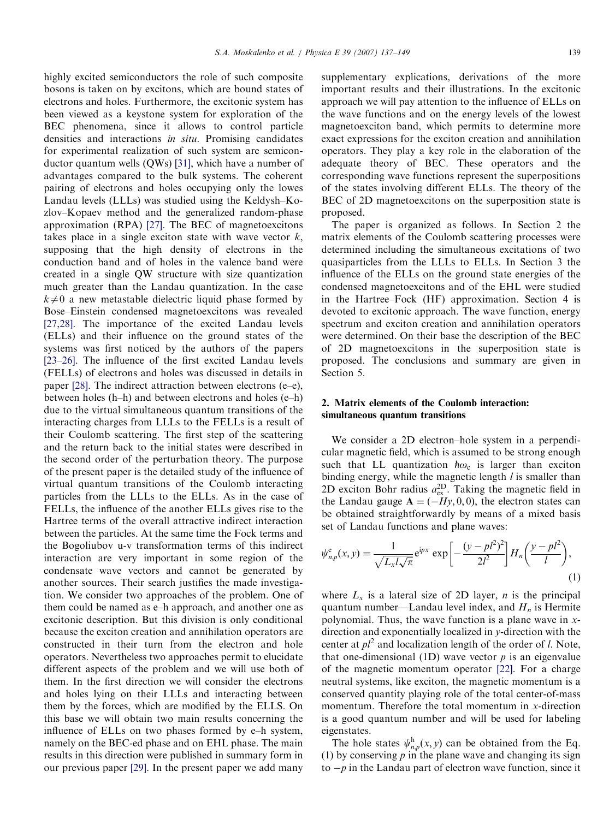highly excited semiconductors the role of such composite bosons is taken on by excitons, which are bound states of electrons and holes. Furthermore, the excitonic system has been viewed as a keystone system for exploration of the BEC phenomena, since it allows to control particle densities and interactions in situ. Promising candidates for experimental realization of such system are semiconductor quantum wells (QWs) [\[31\],](#page-12-0) which have a number of advantages compared to the bulk systems. The coherent pairing of electrons and holes occupying only the lowes Landau levels (LLLs) was studied using the Keldysh–Kozlov–Kopaev method and the generalized random-phase approximation (RPA) [\[27\]](#page-11-0). The BEC of magnetoexcitons takes place in a single exciton state with wave vector  $k$ , supposing that the high density of electrons in the conduction band and of holes in the valence band were created in a single QW structure with size quantization much greater than the Landau quantization. In the case  $k\neq0$  a new metastable dielectric liquid phase formed by Bose–Einstein condensed magnetoexcitons was revealed [\[27,28\].](#page-11-0) The importance of the excited Landau levels (ELLs) and their influence on the ground states of the systems was first noticed by the authors of the papers [\[23–26\].](#page-11-0) The influence of the first excited Landau levels (FELLs) of electrons and holes was discussed in details in paper [\[28\]](#page-11-0). The indirect attraction between electrons (e–e), between holes (h–h) and between electrons and holes (e–h) due to the virtual simultaneous quantum transitions of the interacting charges from LLLs to the FELLs is a result of their Coulomb scattering. The first step of the scattering and the return back to the initial states were described in the second order of the perturbation theory. The purpose of the present paper is the detailed study of the influence of virtual quantum transitions of the Coulomb interacting particles from the LLLs to the ELLs. As in the case of FELLs, the influence of the another ELLs gives rise to the Hartree terms of the overall attractive indirect interaction between the particles. At the same time the Fock terms and the Bogoliubov u-v transformation terms of this indirect interaction are very important in some region of the condensate wave vectors and cannot be generated by another sources. Their search justifies the made investigation. We consider two approaches of the problem. One of them could be named as e–h approach, and another one as excitonic description. But this division is only conditional because the exciton creation and annihilation operators are constructed in their turn from the electron and hole operators. Nevertheless two approaches permit to elucidate different aspects of the problem and we will use both of them. In the first direction we will consider the electrons and holes lying on their LLLs and interacting between them by the forces, which are modified by the ELLS. On this base we will obtain two main results concerning the influence of ELLs on two phases formed by e–h system, namely on the BEC-ed phase and on EHL phase. The main results in this direction were published in summary form in our previous paper [\[29\].](#page-11-0) In the present paper we add many supplementary explications, derivations of the more important results and their illustrations. In the excitonic approach we will pay attention to the influence of ELLs on the wave functions and on the energy levels of the lowest magnetoexciton band, which permits to determine more exact expressions for the exciton creation and annihilation operators. They play a key role in the elaboration of the adequate theory of BEC. These operators and the corresponding wave functions represent the superpositions of the states involving different ELLs. The theory of the BEC of 2D magnetoexcitons on the superposition state is proposed.

The paper is organized as follows. In Section 2 the matrix elements of the Coulomb scattering processes were determined including the simultaneous excitations of two quasiparticles from the LLLs to ELLs. In Section 3 the influence of the ELLs on the ground state energies of the condensed magnetoexcitons and of the EHL were studied in the Hartree–Fock (HF) approximation. Section 4 is devoted to excitonic approach. The wave function, energy spectrum and exciton creation and annihilation operators were determined. On their base the description of the BEC of 2D magnetoexcitons in the superposition state is proposed. The conclusions and summary are given in Section 5.

# 2. Matrix elements of the Coulomb interaction: simultaneous quantum transitions

We consider a 2D electron–hole system in a perpendicular magnetic field, which is assumed to be strong enough such that LL quantization  $\hbar \omega_c$  is larger than exciton binding energy, while the magnetic length  $l$  is smaller than 2D exciton Bohr radius  $a_{\text{ex}}^{\text{2D}}$ . Taking the magnetic field in the Landau gauge  $A = (-Hy, 0, 0)$ , the electron states can be obtained straightforwardly by means of a mixed basis set of Landau functions and plane waves:

$$
\psi_{n,p}^e(x,y) = \frac{1}{\sqrt{L_x l \sqrt{\pi}}} e^{ipx} \exp\left[-\frac{(y-pl^2)^2}{2l^2}\right] H_n\left(\frac{y-pl^2}{l}\right),\tag{1}
$$

where  $L_x$  is a lateral size of 2D layer, *n* is the principal quantum number—Landau level index, and  $H_n$  is Hermite polynomial. Thus, the wave function is a plane wave in  $x$ direction and exponentially localized in y-direction with the center at  $pl^2$  and localization length of the order of l. Note, that one-dimensional (1D) wave vector  $p$  is an eigenvalue of the magnetic momentum operator [\[22\].](#page-11-0) For a charge neutral systems, like exciton, the magnetic momentum is a conserved quantity playing role of the total center-of-mass momentum. Therefore the total momentum in x-direction is a good quantum number and will be used for labeling eigenstates.

The hole states  $\psi_{n,p}^{h}(x, y)$  can be obtained from the Eq. (1) by conserving  $p$  in the plane wave and changing its sign to  $-p$  in the Landau part of electron wave function, since it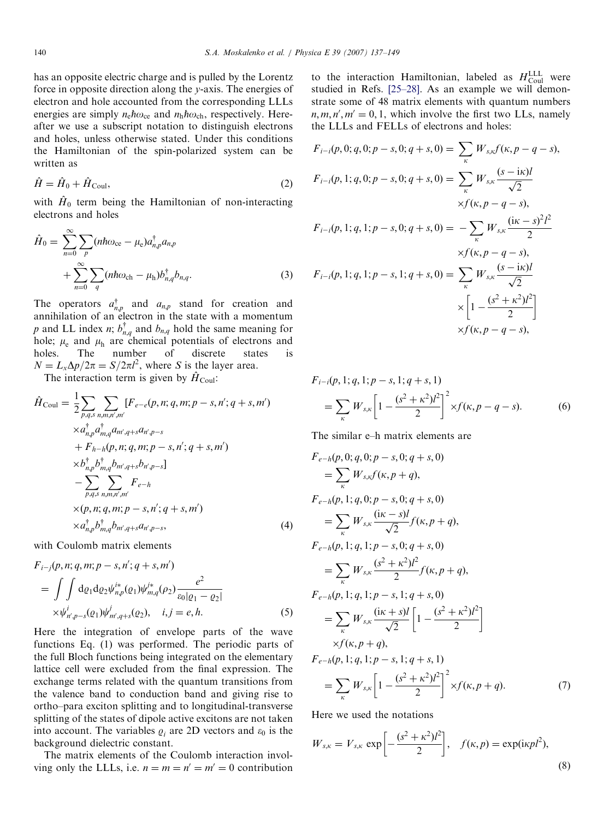has an opposite electric charge and is pulled by the Lorentz force in opposite direction along the y-axis. The energies of electron and hole accounted from the corresponding LLLs energies are simply  $n_{\rm e}\hbar\omega_{\rm ce}$  and  $n_{\rm h}\hbar\omega_{\rm ch}$ , respectively. Hereafter we use a subscript notation to distinguish electrons and holes, unless otherwise stated. Under this conditions the Hamiltonian of the spin-polarized system can be written as

$$
\hat{H} = \hat{H}_0 + \hat{H}_{\text{Coul}},\tag{2}
$$

with  $\hat{H}_0$  term being the Hamiltonian of non-interacting electrons and holes

$$
\hat{H}_0 = \sum_{n=0}^{\infty} \sum_{p} (nh\omega_{ce} - \mu_e) a_{n,p}^{\dagger} a_{n,p} \n+ \sum_{n=0}^{\infty} \sum_{q} (nh\omega_{ch} - \mu_h) b_{n,q}^{\dagger} b_{n,q}.
$$
\n(3)

The operators  $a_{n,p}^{\dagger}$  and  $a_{n,p}$  stand for creation and annihilation of an electron in the state with a momentum p and LL index n;  $b_{n,q}^{\dagger}$  and  $b_{n,q}$  hold the same meaning for hole;  $\mu_e$  and  $\mu_h$  are chemical potentials of electrons and holes. The number of discrete states is  $N = L_x \Delta p / 2\pi = S / 2\pi l^2$ , where S is the layer area.

The interaction term is given by  $\hat{H}_{\text{Coul}}$ :

$$
\hat{H}_{\text{Coul}} = \frac{1}{2} \sum_{p,q,s} \sum_{n,m,n',m'} [F_{e-e}(p,n;q,m;p-s,n';q+s,m')\n\times a_{n,p}^{\dagger} a_{m,q}^{\dagger} a_{m',q+s}^{\dagger} a_{n',p-s}\n+ F_{h-h}(p,n;q,m;p-s,n';q+s,m')\n\times b_{n,p}^{\dagger} b_{m,q}^{\dagger} b_{m',q+s}^{\dagger} b_{n',p-s}] \n- \sum_{p,q,s} \sum_{n,m,n',m'} F_{e-h}\n\times (p,n;q,m;p-s,n';q+s,m')\n\times a_{n,p}^{\dagger} b_{m,q}^{\dagger} b_{m',q+s}^{\dagger} a_{n',p-s}, \n\tag{4}
$$

with Coulomb matrix elements

$$
F_{i-j}(p, n; q, m; p - s, n'; q + s, m')
$$
  
= 
$$
\int \int d\varrho_1 d\varrho_2 \psi_{n,p}^{i*}(\varrho_1) \psi_{m,q}^{i*}(\rho_2) \frac{e^2}{\varepsilon_0 |\varrho_1 - \varrho_2|}
$$
  

$$
\times \psi_{n', p-s}^{i}(\varrho_1) \psi_{m', q+s}^{j}(\varrho_2), \quad i, j = e, h.
$$
 (5)

Here the integration of envelope parts of the wave functions Eq. (1) was performed. The periodic parts of the full Bloch functions being integrated on the elementary lattice cell were excluded from the final expression. The exchange terms related with the quantum transitions from the valence band to conduction band and giving rise to ortho–para exciton splitting and to longitudinal-transverse splitting of the states of dipole active excitons are not taken into account. The variables  $\varrho_i$  are 2D vectors and  $\varepsilon_0$  is the background dielectric constant.

The matrix elements of the Coulomb interaction involving only the LLLs, i.e.  $n = m = n' = m' = 0$  contribution to the interaction Hamiltonian, labeled as  $H_{\text{Coul}}^{\text{LLL}}$  were studied in Refs. [\[25–28\].](#page-11-0) As an example we will demonstrate some of 48 matrix elements with quantum numbers  $n, m, n', m' = 0, 1$ , which involve the first two LLs, namely the LLLs and FELLs of electrons and holes:

$$
F_{i-i}(p, 0; q, 0; p - s, 0; q + s, 0) = \sum_{\kappa} W_{s,\kappa} f(\kappa, p - q - s),
$$
  
\n
$$
F_{i-i}(p, 1; q, 0; p - s, 0; q + s, 0) = \sum_{\kappa} W_{s,\kappa} \frac{(s - i\kappa)l}{\sqrt{2}}
$$
  
\n
$$
\times f(\kappa, p - q - s),
$$
  
\n
$$
F_{i-i}(p, 1; q, 1; p - s, 0; q + s, 0) = -\sum_{\kappa} W_{s,\kappa} \frac{(i\kappa - s)^2 l^2}{2}
$$
  
\n
$$
\times f(\kappa, p - q - s),
$$
  
\n
$$
F_{i-i}(p, 1; q, 1; p - s, 1; q + s, 0) = \sum_{\kappa} W_{s,\kappa} \frac{(s - i\kappa)l}{\sqrt{2}}
$$
  
\n
$$
\times \left[1 - \frac{(s^2 + \kappa^2)l^2}{2}\right]
$$
  
\n
$$
\times f(\kappa, p - q - s),
$$

$$
F_{i-i}(p, 1; q, 1; p-s, 1; q+s, 1)
$$
  
= 
$$
\sum_{\kappa} W_{s,\kappa} \left[ 1 - \frac{(s^2 + \kappa^2)l^2}{2} \right]^2 \times f(\kappa, p-q-s).
$$
 (6)

The similar e–h matrix elements are

$$
F_{e-h}(p, 0; q, 0; p - s, 0; q + s, 0)
$$
  
=  $\sum_{\kappa} W_{s,\kappa} f(\kappa, p + q),$   

$$
F_{e-h}(p, 1; q, 0; p - s, 0; q + s, 0)
$$
  
=  $\sum_{\kappa} W_{s,\kappa} \frac{(\mathrm{i}\kappa - s)l}{\sqrt{2}} f(\kappa, p + q),$   

$$
F_{e-h}(p, 1; q, 1; p - s, 0; q + s, 0)
$$
  
=  $\sum_{\kappa} W_{s,\kappa} \frac{(s^2 + \kappa^2)l^2}{2} f(\kappa, p + q),$   

$$
F_{e-h}(p, 1; q, 1; p - s, 1; q + s, 0)
$$
  
=  $\sum_{\kappa} W_{s,\kappa} \frac{(\mathrm{i}\kappa + s)l}{\sqrt{2}} \left[1 - \frac{(s^2 + \kappa^2)l^2}{2}\right]$   

$$
\times f(\kappa, p + q),
$$
  

$$
F_{e-h}(p, 1; q, 1; p - s, 1; q + s, 1)
$$

 $=\sum$ k  $W_{s,k} \left[ 1 - \frac{(s^2 + \kappa^2)l^2}{2} \right]$ 2  $xf(\kappa, p+q).$  (7)

Here we used the notations

$$
W_{s,\kappa} = V_{s,\kappa} \exp\left[-\frac{(s^2 + \kappa^2)l^2}{2}\right], \quad f(\kappa, p) = \exp(i\kappa pl^2),
$$
\n(8)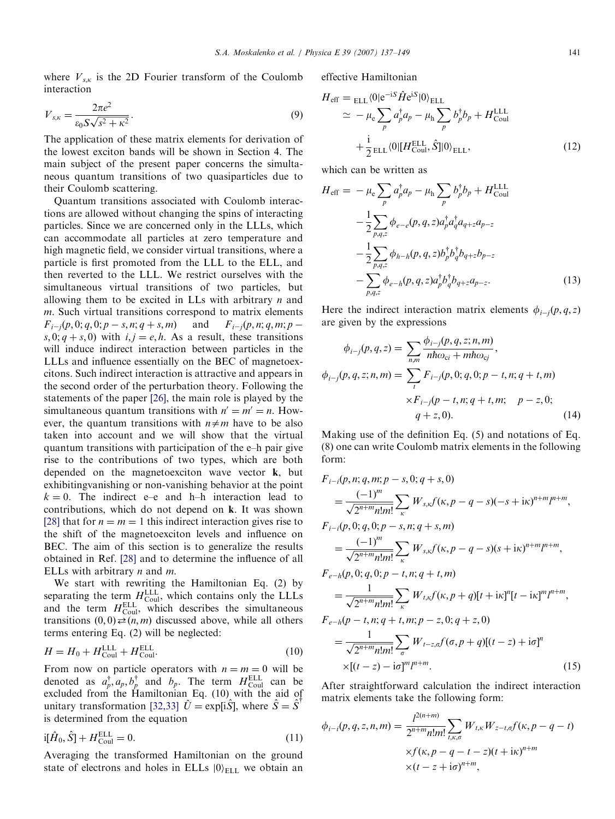where  $V_{s,k}$  is the 2D Fourier transform of the Coulomb interaction

$$
V_{s,\kappa} = \frac{2\pi e^2}{\varepsilon_0 S \sqrt{s^2 + \kappa^2}}.
$$
\n(9)

The application of these matrix elements for derivation of the lowest exciton bands will be shown in Section 4. The main subject of the present paper concerns the simultaneous quantum transitions of two quasiparticles due to their Coulomb scattering.

Quantum transitions associated with Coulomb interactions are allowed without changing the spins of interacting particles. Since we are concerned only in the LLLs, which can accommodate all particles at zero temperature and high magnetic field, we consider virtual transitions, where a particle is first promoted from the LLL to the ELL, and then reverted to the LLL. We restrict ourselves with the simultaneous virtual transitions of two particles, but allowing them to be excited in LLs with arbitrary  $n$  and m. Such virtual transitions correspond to matrix elements  $F_{i-j}(p,0;q,0;p-s,n;q+s,m)$  and  $F_{i-j}(p,n;q,m;p$ s, 0;  $q + s$ , 0) with  $i, j = e, h$ . As a result, these transitions will induce indirect interaction between particles in the LLLs and influence essentially on the BEC of magnetoexcitons. Such indirect interaction is attractive and appears in the second order of the perturbation theory. Following the statements of the paper [\[26\]](#page-11-0), the main role is played by the simultaneous quantum transitions with  $n' = m' = n$ . However, the quantum transitions with  $n \neq m$  have to be also taken into account and we will show that the virtual quantum transitions with participation of the e–h pair give rise to the contributions of two types, which are both depended on the magnetoexciton wave vector k, but exhibitingvanishing or non-vanishing behavior at the point  $k = 0$ . The indirect e–e and h–h interaction lead to contributions, which do not depend on k. It was shown [\[28\]](#page-11-0) that for  $n = m = 1$  this indirect interaction gives rise to the shift of the magnetoexciton levels and influence on BEC. The aim of this section is to generalize the results obtained in Ref. [\[28\]](#page-11-0) and to determine the influence of all ELLs with arbitrary  $n$  and  $m$ .

We start with rewriting the Hamiltonian Eq. (2) by separating the term  $H_{\text{Coul}}^{\text{LLL}}$ , which contains only the LLLs and the term  $H_{\text{Coul}}^{\text{ELL}}$ , which describes the simultaneous transitions  $(0, 0) \rightleftarrows (n, m)$  discussed above, while all others terms entering Eq. (2) will be neglected:

$$
H = H_0 + H_{\text{Coul}}^{\text{LLL}} + H_{\text{Coul}}^{\text{ELL}}.\tag{10}
$$

From now on particle operators with  $n = m = 0$  will be denoted as  $a_p^{\dagger}, a_p, b_p^{\dagger}$  and  $b_p$ . The term  $H_{\text{Coul}}^{\text{ELL}}$  can be excluded from the Hamiltonian Eq. (10) with the aid of unitary transformation [\[32,33\]](#page-12-0)  $\hat{U} = \exp[i\hat{S}]$ , where  $\hat{S} = \hat{S}$ is determined from the equation

$$
i[\hat{H}_0, \hat{S}] + H^{\text{ELL}}_{\text{Coul}} = 0. \tag{11}
$$

Averaging the transformed Hamiltonian on the ground state of electrons and holes in ELLs  $|0\rangle_{\text{ELL}}$  we obtain an

effective Hamiltonian

$$
H_{\text{eff}} = \text{ELL} \langle 0 | e^{-iS} \hat{H} e^{iS} | 0 \rangle_{\text{ELL}} \n\simeq -\mu_{\text{e}} \sum_{p} a_{p}^{\dagger} a_{p} - \mu_{\text{h}} \sum_{p} b_{p}^{\dagger} b_{p} + H_{\text{Coul}}^{\text{LLL}} \n+ \frac{\text{i}}{2} \text{ELL} \langle 0 | [H_{\text{Coul}}^{\text{ELL}}, \hat{S}] | 0 \rangle_{\text{ELL}},
$$
\n(12)

which can be written as

$$
H_{\text{eff}} = -\mu_{\text{e}} \sum_{p} a_{p}^{\dagger} a_{p} - \mu_{\text{h}} \sum_{p} b_{p}^{\dagger} b_{p} + H_{\text{Coul}}^{\text{LLL}} - \frac{1}{2} \sum_{p,q,z} \phi_{e-e}(p,q,z) a_{p}^{\dagger} a_{q}^{\dagger} a_{q+z} a_{p-z} - \frac{1}{2} \sum_{p,q,z} \phi_{h-h}(p,q,z) b_{p}^{\dagger} b_{q}^{\dagger} b_{q+z} b_{p-z} - \sum_{p,q,z} \phi_{e-h}(p,q,z) a_{p}^{\dagger} b_{q}^{\dagger} b_{q+z} a_{p-z}.
$$
 (13)

Here the indirect interaction matrix elements  $\phi_{i-j}(p, q, z)$ are given by the expressions

$$
\phi_{i-j}(p,q,z) = \sum_{n,m} \frac{\phi_{i-j}(p,q,z;n,m)}{nh\omega_{ci} + mh\omega_{cj}},
$$
  

$$
\phi_{i-j}(p,q,z;n,m) = \sum_{i} F_{i-j}(p,0;q,0;p-t,n;q+t,m)
$$
  

$$
\times F_{i-j}(p-t,n;q+t,m; p-z,0;q+z,0). \tag{14}
$$

Making use of the definition Eq. (5) and notations of Eq. (8) one can write Coulomb matrix elements in the following form:

$$
F_{i-i}(p, n; q, m; p-s, 0; q+s, 0)
$$
  
= 
$$
\frac{(-1)^m}{\sqrt{2^{n+m}n!m!}} \sum_{\kappa} W_{s,\kappa} f(\kappa, p-q-s)(-s+i\kappa)^{n+m} l^{n+m},
$$
  

$$
F_{i-i}(p, 0; q, 0; p-s, n; q+s, m)
$$
  
= 
$$
\frac{(-1)^m}{\sqrt{2^{n+m}n!m!}} \sum_{\kappa} W_{s,\kappa} f(\kappa, p-q-s)(s+i\kappa)^{n+m} l^{n+m},
$$
  

$$
F_{e-h}(p, 0; q, 0; p-t, n; q+t, m)
$$
  
= 
$$
\frac{1}{\sqrt{2^{n+m}n!m!}} \sum_{\kappa} W_{i,\kappa} f(\kappa, p+q)[t+i\kappa]^n [t-i\kappa]^{m} l^{n+m},
$$
  

$$
F_{e-h}(p-t, n; q+t, m; p-z, 0; q+z, 0)
$$
  
= 
$$
\frac{1}{\sqrt{2^{n+m}n!m!}} \sum_{\sigma} W_{i-z,\sigma} f(\sigma, p+q)[(t-z)+i\sigma]^n
$$
  

$$
\times [(t-z)-i\sigma]^m l^{n+m}.
$$
 (15)

After straightforward calculation the indirect interaction matrix elements take the following form:

$$
\phi_{i-i}(p, q, z, n, m) = \frac{l^{2(n+m)}}{2^{n+m} n! m!} \sum_{t, \kappa, \sigma} W_{t,\kappa} W_{z-t,\sigma} f(\kappa, p - q - t)
$$

$$
\times f(\kappa, p - q - t - z)(t + i\kappa)^{n+m}
$$

$$
\times (t - z + i\sigma)^{n+m},
$$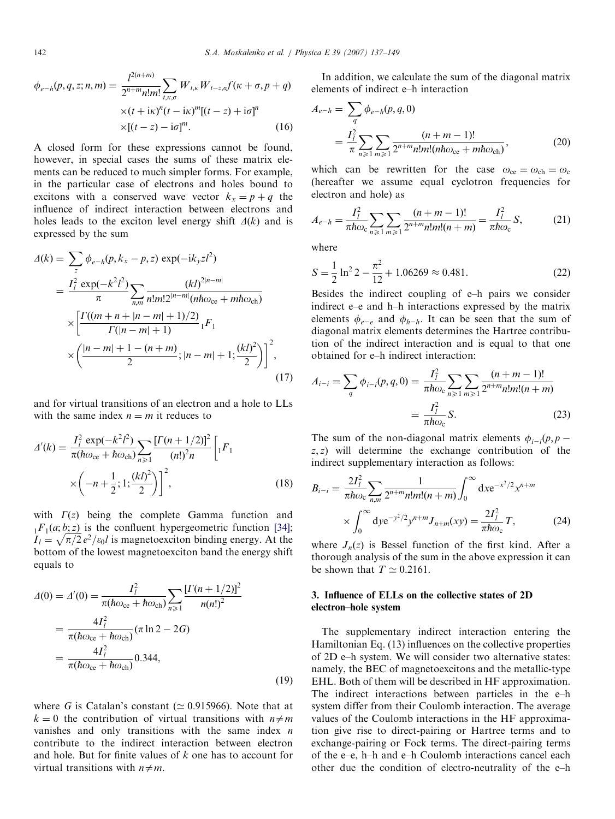$$
\phi_{e-h}(p,q,z;n,m) = \frac{l^{2(n+m)}}{2^{n+m}n!m!} \sum_{t,\kappa,\sigma} W_{t,\kappa} W_{t-z,\sigma} f(\kappa + \sigma, p + q)
$$

$$
\times (t + i\kappa)^{n} (t - i\kappa)^{m} [(t - z) + i\sigma]^{n}
$$

$$
\times [(t - z) - i\sigma]^{m}.
$$
 (16)

A closed form for these expressions cannot be found, however, in special cases the sums of these matrix elements can be reduced to much simpler forms. For example, in the particular case of electrons and holes bound to excitons with a conserved wave vector  $k_x = p + q$  the influence of indirect interaction between electrons and holes leads to the exciton level energy shift  $\Delta(k)$  and is expressed by the sum

$$
\Delta(k) = \sum_{z} \phi_{e-h}(p, k_x - p, z) \exp(-ik_y z l^2)
$$
  
= 
$$
\frac{I_1^2 \exp(-k^2 l^2)}{\pi} \sum_{n,m} \frac{(kl)^{2|n-m|}}{n! m! 2^{|n-m|} (n \hbar \omega_{ce} + m \hbar \omega_{ch})}
$$
  

$$
\times \left[ \frac{\Gamma((m+n+|n-m|+1)/2)}{\Gamma(|n-m|+1)} {}_1F_1 \times \left( \frac{|n-m|+1-(n+m)}{2}; |n-m|+1; \frac{(kl)^2}{2} \right) \right]^2,
$$
  
(17)

and for virtual transitions of an electron and a hole to LLs with the same index  $n = m$  it reduces to

$$
\Delta'(k) = \frac{I_1^2 \exp(-k^2 l^2)}{\pi (\hbar \omega_{\rm ce} + \hbar \omega_{\rm ch})} \sum_{n \ge 1} \frac{[ \Gamma(n + 1/2)]^2}{(n!)^2 n} \left[ {}_1F_1 \right]
$$

$$
\times \left( -n + \frac{1}{2}; 1; \frac{(kl)^2}{2} \right) \right]^2,
$$
(18)

with  $\Gamma(z)$  being the complete Gamma function and  $_1F_1(a; b; z)$  is the confluent hypergeometric function [\[34\]](#page-12-0);  $I_1 = \sqrt{\pi/2} e^2 / \epsilon_0 l$  is magnetoexciton binding energy. At the bottom of the lowest magnetoexciton band the energy shift equals to

$$
\Delta(0) = \Delta'(0) = \frac{I_I^2}{\pi(\hbar\omega_{ce} + \hbar\omega_{ch})} \sum_{n \ge 1} \frac{[F(n + 1/2)]^2}{n(n!)^2}
$$
  
= 
$$
\frac{4I_I^2}{\pi(\hbar\omega_{ce} + \hbar\omega_{ch})} (\pi \ln 2 - 2G)
$$
  
= 
$$
\frac{4I_I^2}{\pi(\hbar\omega_{ce} + \hbar\omega_{ch})} 0.344,
$$
 (19)

where G is Catalan's constant ( $\simeq$  0.915966). Note that at  $k = 0$  the contribution of virtual transitions with  $n \neq m$ vanishes and only transitions with the same index  $n$ contribute to the indirect interaction between electron and hole. But for finite values of k one has to account for virtual transitions with  $n \neq m$ .

In addition, we calculate the sum of the diagonal matrix elements of indirect e–h interaction

$$
A_{e-h} = \sum_{q} \phi_{e-h}(p, q, 0)
$$
  
= 
$$
\frac{I_1^2}{\pi} \sum_{n \geq 1} \sum_{m \geq 1} \frac{(n+m-1)!}{2^{n+m} n! m! (nh\omega_{ce} + mh\omega_{ch})},
$$
 (20)

which can be rewritten for the case  $\omega_{ce} = \omega_{ch} = \omega_c$ (hereafter we assume equal cyclotron frequencies for electron and hole) as

$$
A_{e-h} = \frac{I_l^2}{\pi \hbar \omega_c} \sum_{n \geq 1} \sum_{m \geq 1} \frac{(n+m-1)!}{2^{n+m} n! m! (n+m)} = \frac{I_l^2}{\pi \hbar \omega_c} S,
$$
(21)

where

$$
S = \frac{1}{2} \ln^2 2 - \frac{\pi^2}{12} + 1.06269 \approx 0.481. \tag{22}
$$

Besides the indirect coupling of e–h pairs we consider indirect e–e and h–h interactions expressed by the matrix elements  $\phi_{e-e}$  and  $\phi_{h-h}$ . It can be seen that the sum of diagonal matrix elements determines the Hartree contribution of the indirect interaction and is equal to that one obtained for e–h indirect interaction:

$$
A_{i-i} = \sum_{q} \phi_{i-i}(p, q, 0) = \frac{I_i^2}{\pi \hbar \omega_c} \sum_{n \geq 1} \sum_{m \geq 1} \frac{(n+m-1)!}{2^{n+m} n! m! (n+m)} = \frac{I_i^2}{\pi \hbar \omega_c} S.
$$
 (23)

The sum of the non-diagonal matrix elements  $\phi_{i-i}(p, p$  $z, z$ ) will determine the exchange contribution of the indirect supplementary interaction as follows:

$$
B_{i-i} = \frac{2I_i^2}{\pi \hbar \omega_c} \sum_{n,m} \frac{1}{2^{n+m} n! m! (n+m)} \int_0^\infty dx e^{-x^2/2} x^{n+m}
$$

$$
\times \int_0^\infty dy e^{-y^2/2} y^{n+m} J_{n+m}(xy) = \frac{2I_i^2}{\pi \hbar \omega_c} T,
$$
(24)

where  $J_n(z)$  is Bessel function of the first kind. After a thorough analysis of the sum in the above expression it can be shown that  $T \simeq 0.2161$ .

# 3. Influence of ELLs on the collective states of 2D electron–hole system

The supplementary indirect interaction entering the Hamiltonian Eq. (13) influences on the collective properties of 2D e–h system. We will consider two alternative states: namely, the BEC of magnetoexcitons and the metallic-type EHL. Both of them will be described in HF approximation. The indirect interactions between particles in the e–h system differ from their Coulomb interaction. The average values of the Coulomb interactions in the HF approximation give rise to direct-pairing or Hartree terms and to exchange-pairing or Fock terms. The direct-pairing terms of the e–e, h–h and e–h Coulomb interactions cancel each other due the condition of electro-neutrality of the e–h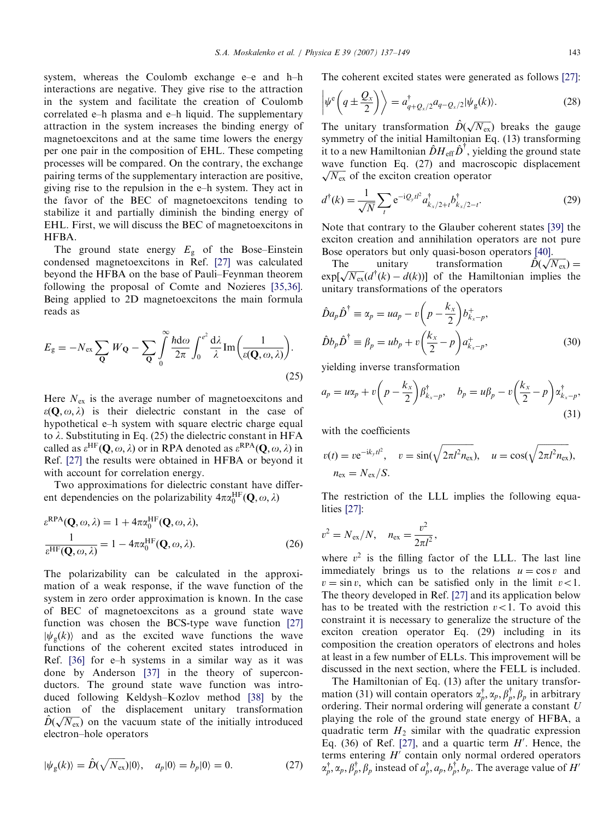system, whereas the Coulomb exchange e–e and h–h interactions are negative. They give rise to the attraction in the system and facilitate the creation of Coulomb correlated e–h plasma and e–h liquid. The supplementary attraction in the system increases the binding energy of magnetoexcitons and at the same time lowers the energy per one pair in the composition of EHL. These competing processes will be compared. On the contrary, the exchange pairing terms of the supplementary interaction are positive, giving rise to the repulsion in the e–h system. They act in the favor of the BEC of magnetoexcitons tending to stabilize it and partially diminish the binding energy of EHL. First, we will discuss the BEC of magnetoexcitons in HFBA.

The ground state energy  $E_{\rm g}$  of the Bose–Einstein condensed magnetoexcitons in Ref. [\[27\]](#page-11-0) was calculated beyond the HFBA on the base of Pauli–Feynman theorem following the proposal of Comte and Nozieres [\[35,36\].](#page-12-0) Being applied to 2D magnetoexcitons the main formula reads as

$$
E_{\rm g} = -N_{\rm ex} \sum_{\bf Q} W_{\bf Q} - \sum_{\bf Q} \int_{0}^{\infty} \frac{\hbar \text{d}\omega}{2\pi} \int_{0}^{e^2} \frac{\text{d}\lambda}{\lambda} \text{Im}\left(\frac{1}{\varepsilon({\bf Q}, \omega, \lambda)}\right).
$$
\n(25)

Here  $N_{ex}$  is the average number of magnetoexcitons and  $\varepsilon(Q, \omega, \lambda)$  is their dielectric constant in the case of hypothetical e–h system with square electric charge equal to  $\lambda$ . Substituting in Eq. (25) the dielectric constant in HFA called as  $\varepsilon^{\text{HF}}(Q, \omega, \lambda)$  or in RPA denoted as  $\varepsilon^{\text{RPA}}(Q, \omega, \lambda)$  in Ref. [\[27\]](#page-11-0) the results were obtained in HFBA or beyond it with account for correlation energy.

Two approximations for dielectric constant have different dependencies on the polarizability  $4\pi\alpha_0^{\text{HF}}(Q,\omega,\lambda)$ 

$$
\varepsilon^{\text{RPA}}(\mathbf{Q}, \omega, \lambda) = 1 + 4\pi \alpha_0^{\text{HF}}(\mathbf{Q}, \omega, \lambda),
$$
  

$$
\frac{1}{\varepsilon^{\text{HF}}(\mathbf{Q}, \omega, \lambda)} = 1 - 4\pi \alpha_0^{\text{HF}}(\mathbf{Q}, \omega, \lambda).
$$
 (26)

The polarizability can be calculated in the approximation of a weak response, if the wave function of the system in zero order approximation is known. In the case of BEC of magnetoexcitons as a ground state wave function was chosen the BCS-type wave function [\[27\]](#page-11-0)  $|\psi_{\alpha}(k)\rangle$  and as the excited wave functions the wave functions of the coherent excited states introduced in Ref. [\[36\]](#page-12-0) for e–h systems in a similar way as it was done by Anderson [\[37\]](#page-12-0) in the theory of superconductors. The ground state wave function was introduced following Keldysh–Kozlov method [\[38\]](#page-12-0) by the action of the displacement unitary transformation  $\hat{D}(\sqrt{N_{\rm ex}})$  on the vacuum state of the initially introduced electron–hole operators

$$
|\psi_{g}(k)\rangle = \hat{D}(\sqrt{N_{\text{ex}}})|0\rangle, \quad a_{p}|0\rangle = b_{p}|0\rangle = 0. \tag{27}
$$

The coherent excited states were generated as follows [\[27\]:](#page-11-0)

$$
\left|\psi^e\left(q\pm\frac{Q_x}{2}\right)\right\rangle = a_{q+Q_x/2}^\dagger a_{q-Q_x/2}|\psi_g(k)\rangle.
$$
 (28)

The unitary transformation  $\hat{D}(\sqrt{N_{\rm ex}})$  breaks the gauge symmetry of the initial Hamiltonian Eq. (13) transforming it to a new Hamiltonian  $\hat{D}H_{\text{eff}}\hat{D}^{\dagger}$ , yielding the ground state wave function Eq.  $(27)$  and macroscopic displacement  $\sqrt{N_{\rm ex}}$  of the exciton creation operator

$$
d^{\dagger}(k) = \frac{1}{\sqrt{N}} \sum_{t} e^{-iQ_{y}t^{2}} a^{\dagger}_{k_{x}/2+t} b^{\dagger}_{k_{x}/2-t}.
$$
 (29)

Note that contrary to the Glauber coherent states [\[39\]](#page-12-0) the exciton creation and annihilation operators are not pure Bose operators but only quasi-boson operators [\[40\].](#page-12-0)

The unitary transformation  $D(\sqrt{N_{\rm ex}}) =$ exp[ $\sqrt{N_{\text{ex}}}(d^{\dagger}(k) - d(k))$ ] of the Hamiltonian implies the unitary transformations of the operators

$$
\hat{D}a_p \hat{D}^{\dagger} \equiv \alpha_p = u a_p - v \left( p - \frac{k_x}{2} \right) b_{k_x - p}^+, \n\hat{D}b_p \hat{D}^{\dagger} \equiv \beta_p = u b_p + v \left( \frac{k_x}{2} - p \right) a_{k_x - p}^+,
$$
\n(30)

yielding inverse transformation

$$
a_p = u\alpha_p + v\left(p - \frac{k_x}{2}\right)\beta_{k_x - p}^{\dagger}, \quad b_p = u\beta_p - v\left(\frac{k_x}{2} - p\right)\alpha_{k_x - p}^{\dagger},\tag{31}
$$

with the coefficients

$$
v(t) = v e^{-ik_y t l^2}, \quad v = \sin(\sqrt{2\pi l^2 n_{\text{ex}}}), \quad u = \cos(\sqrt{2\pi l^2 n_{\text{ex}}}),
$$

$$
n_{\text{ex}} = N_{\text{ex}}/S.
$$

The restriction of the LLL implies the following equalities [\[27\]:](#page-11-0)

$$
v^2 = N_{\text{ex}}/N
$$
,  $n_{\text{ex}} = \frac{v^2}{2\pi l^2}$ ,

where  $v^2$  is the filling factor of the LLL. The last line immediately brings us to the relations  $u = \cos v$  and  $v = \sin v$ , which can be satisfied only in the limit  $v < 1$ . The theory developed in Ref. [\[27\]](#page-11-0) and its application below has to be treated with the restriction  $v < 1$ . To avoid this constraint it is necessary to generalize the structure of the exciton creation operator Eq. (29) including in its composition the creation operators of electrons and holes at least in a few number of ELLs. This improvement will be discussed in the next section, where the FELL is included.

The Hamiltonian of Eq. (13) after the unitary transformation (31) will contain operators  $\alpha_p^{\dagger}, \alpha_p, \beta_p^{\dagger}, \beta_p$  in arbitrary ordering. Their normal ordering will generate a constant U playing the role of the ground state energy of HFBA, a quadratic term  $H_2$  similar with the quadratic expression Eq. (36) of Ref. [\[27\]](#page-11-0), and a quartic term  $H'$ . Hence, the terms entering  $H'$  contain only normal ordered operators  $\alpha_p^{\dagger}, \alpha_p, \beta_p^{\dagger}, \beta_p$  instead of  $a_p^{\dagger}, a_p, b_p^{\dagger}, b_p$ . The average value of H'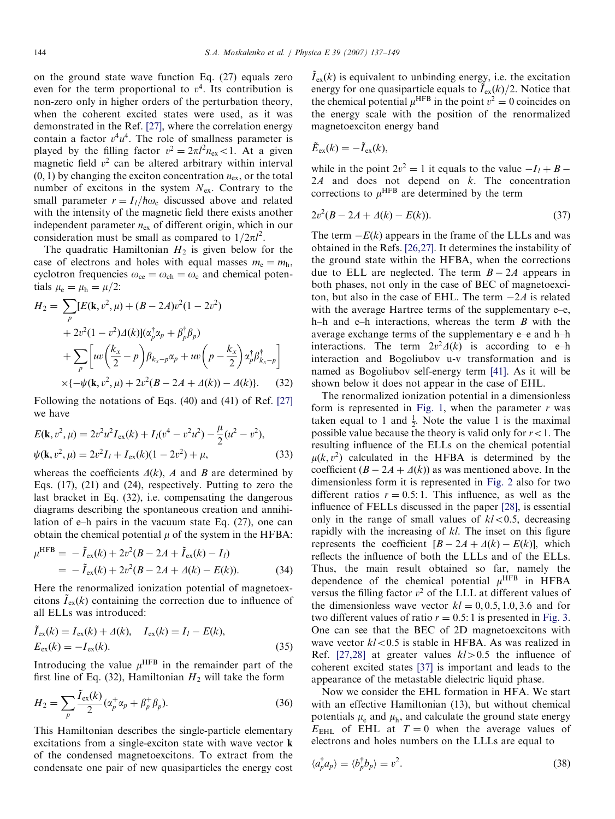on the ground state wave function Eq. (27) equals zero even for the term proportional to  $v<sup>4</sup>$ . Its contribution is non-zero only in higher orders of the perturbation theory, when the coherent excited states were used, as it was demonstrated in the Ref. [\[27\],](#page-11-0) where the correlation energy contain a factor  $v^4u^4$ . The role of smallness parameter is played by the filling factor  $v^2 = 2\pi l^2 n_{\text{ex}} < 1$ . At a given magnetic field  $v^2$  can be altered arbitrary within interval  $(0, 1)$  by changing the exciton concentration  $n_{ex}$ , or the total number of excitons in the system  $N_{ex}$ . Contrary to the small parameter  $r = I_l/\hbar\omega_c$  discussed above and related with the intensity of the magnetic field there exists another independent parameter  $n_{\text{ex}}$  of different origin, which in our consideration must be small as compared to  $1/2\pi l^2$ .

The quadratic Hamiltonian  $H_2$  is given below for the case of electrons and holes with equal masses  $m_e = m_h$ , cyclotron frequencies  $\omega_{ce} = \omega_{ch} = \omega_c$  and chemical potentials  $\mu_{\rm e} = \mu_{\rm h} = \mu/2$ :

$$
H_2 = \sum_{p} [E(\mathbf{k}, v^2, \mu) + (B - 2A)v^2(1 - 2v^2) + 2v^2(1 - v^2)\Delta(k)](\alpha_p^{\dagger}\alpha_p + \beta_p^{\dagger}\beta_p) + \sum_{p} \left[ uv \left( \frac{k_x}{2} - p \right) \beta_{k_x - p} \alpha_p + uv \left( p - \frac{k_x}{2} \right) \alpha_p^{\dagger} \beta_{k_x - p}^{\dagger} \right] \times \{-\psi(\mathbf{k}, v^2, \mu) + 2v^2(B - 2A + \Delta(k)) - \Delta(k)\}.
$$
 (32)

Following the notations of Eqs. (40) and (41) of Ref. [\[27\]](#page-11-0) we have

$$
E(\mathbf{k}, v^2, \mu) = 2v^2 u^2 I_{\text{ex}}(k) + I_l(v^4 - v^2 u^2) - \frac{\mu}{2} (u^2 - v^2),
$$
  

$$
\psi(\mathbf{k}, v^2, \mu) = 2v^2 I_l + I_{\text{ex}}(k)(1 - 2v^2) + \mu,
$$
 (33)

whereas the coefficients  $\Delta(k)$ , A and B are determined by Eqs. (17), (21) and (24), respectively. Putting to zero the last bracket in Eq. (32), i.e. compensating the dangerous diagrams describing the spontaneous creation and annihilation of e–h pairs in the vacuum state Eq. (27), one can obtain the chemical potential  $\mu$  of the system in the HFBA:

$$
\mu^{\text{HFB}} = -\tilde{I}_{\text{ex}}(k) + 2v^2(B - 2A + \tilde{I}_{\text{ex}}(k) - I_l)
$$
  
= 
$$
-\tilde{I}_{\text{ex}}(k) + 2v^2(B - 2A + \Delta(k) - E(k)).
$$
 (34)

Here the renormalized ionization potential of magnetoexcitons  $\tilde{I}_{\text{ex}}(k)$  containing the correction due to influence of all ELLs was introduced:

$$
\tilde{I}_{ex}(k) = I_{ex}(k) + \Delta(k), \quad I_{ex}(k) = I_{l} - E(k), \nE_{ex}(k) = -I_{ex}(k).
$$
\n(35)

Introducing the value  $\mu^{\text{HFB}}$  in the remainder part of the first line of Eq. (32), Hamiltonian  $H_2$  will take the form

$$
H_2 = \sum_p \frac{\tilde{I}_{ex}(k)}{2} (\alpha_p^+ \alpha_p + \beta_p^+ \beta_p). \tag{36}
$$

This Hamiltonian describes the single-particle elementary excitations from a single-exciton state with wave vector k of the condensed magnetoexcitons. To extract from the condensate one pair of new quasiparticles the energy cost  $\tilde{I}_{\rm ex}(k)$  is equivalent to unbinding energy, i.e. the excitation energy for one quasiparticle equals to  $\tilde{I}_{ex}(k)/2$ . Notice that the chemical potential  $\mu^{\text{HFB}}$  in the point  $v^2 = 0$  coincides on the energy scale with the position of the renormalized magnetoexciton energy band

$$
\tilde{E}_{\text{ex}}(k) = -\tilde{I}_{\text{ex}}(k),
$$

while in the point  $2v^2 = 1$  it equals to the value  $-I_1 + B 2A$  and does not depend on  $k$ . The concentration corrections to  $\mu$ <sup>HFB</sup> are determined by the term

$$
2v^2(B - 2A + \Delta(k) - E(k)).
$$
\n(37)

The term  $-E(k)$  appears in the frame of the LLLs and was obtained in the Refs. [\[26,27\]](#page-11-0). It determines the instability of the ground state within the HFBA, when the corrections due to ELL are neglected. The term  $B - 2A$  appears in both phases, not only in the case of BEC of magnetoexciton, but also in the case of EHL. The term  $-2A$  is related with the average Hartree terms of the supplementary e–e, h–h and e–h interactions, whereas the term  $B$  with the average exchange terms of the supplementary e–e and h–h interactions. The term  $2v^2\Delta(k)$  is according to e–h interaction and Bogoliubov u-v transformation and is named as Bogoliubov self-energy term [\[41\].](#page-12-0) As it will be shown below it does not appear in the case of EHL.

The renormalized ionization potential in a dimensionless form is represented in [Fig. 1,](#page-8-0) when the parameter  $r$  was taken equal to 1 and  $\frac{1}{2}$ . Note the value 1 is the maximal possible value because the theory is valid only for  $r < 1$ . The resulting influence of the ELLs on the chemical potential  $\mu(k, v^2)$  calculated in the HFBA is determined by the coefficient  $(B - 2A + \Delta(k))$  as was mentioned above. In the dimensionless form it is represented in [Fig. 2](#page-8-0) also for two different ratios  $r = 0.5: 1$ . This influence, as well as the influence of FELLs discussed in the paper [\[28\],](#page-11-0) is essential only in the range of small values of  $kl < 0.5$ , decreasing rapidly with the increasing of kl. The inset on this figure represents the coefficient  $[B - 2A + \Delta(k) - E(k)]$ , which reflects the influence of both the LLLs and of the ELLs. Thus, the main result obtained so far, namely the dependence of the chemical potential  $\mu$ <sup>HFB</sup> in HFBA versus the filling factor  $v^2$  of the LLL at different values of the dimensionless wave vector  $kl = 0, 0.5, 1.0, 3.6$  and for two different values of ratio  $r = 0.5$ : 1 is presented in [Fig. 3](#page-8-0). One can see that the BEC of 2D magnetoexcitons with wave vector  $kl < 0.5$  is stable in HFBA. As was realized in Ref. [\[27,28\]](#page-11-0) at greater values  $kl > 0.5$  the influence of coherent excited states [\[37\]](#page-12-0) is important and leads to the appearance of the metastable dielectric liquid phase.

Now we consider the EHL formation in HFA. We start with an effective Hamiltonian (13), but without chemical potentials  $\mu_e$  and  $\mu_h$ , and calculate the ground state energy  $E_{\text{EHL}}$  of EHL at  $T = 0$  when the average values of electrons and holes numbers on the LLLs are equal to

$$
\langle a_p^{\dagger} a_p \rangle = \langle b_p^{\dagger} b_p \rangle = v^2. \tag{38}
$$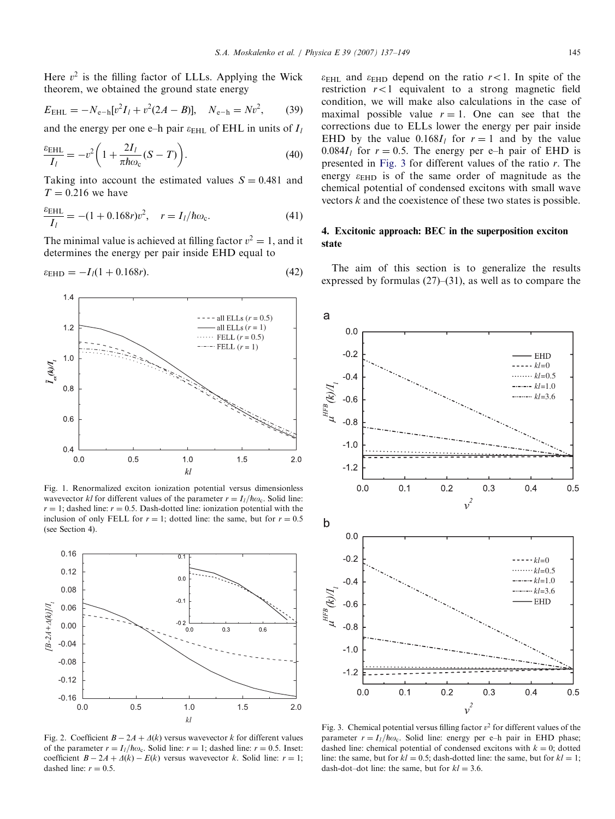<span id="page-8-0"></span>Here  $v^2$  is the filling factor of LLLs. Applying the Wick theorem, we obtained the ground state energy

$$
E_{\rm EHL} = -N_{\rm e-h}[v^2I_l + v^2(2A - B)], \quad N_{\rm e-h} = Nv^2, \tag{39}
$$

and the energy per one e–h pair  $\varepsilon$ <sub>EHL</sub> of EHL in units of  $I_l$ 

$$
\frac{\varepsilon_{\text{EHL}}}{I_l} = -v^2 \left( 1 + \frac{2I_l}{\pi \hbar \omega_c} (S - T) \right). \tag{40}
$$

Taking into account the estimated values  $S = 0.481$  and  $T = 0.216$  we have

$$
\frac{\varepsilon_{\text{EHL}}}{I_l} = -(1 + 0.168r)v^2, \quad r = I_l/\hbar\omega_c.
$$
 (41)

The minimal value is achieved at filling factor  $v^2 = 1$ , and it determines the energy per pair inside EHD equal to

$$
\varepsilon_{\rm EHD} = -I_l (1 + 0.168r). \tag{42}
$$



Fig. 1. Renormalized exciton ionization potential versus dimensionless wavevector kl for different values of the parameter  $r = I_l/\hbar\omega_c$ . Solid line:  $r = 1$ ; dashed line:  $r = 0.5$ . Dash-dotted line: ionization potential with the inclusion of only FELL for  $r = 1$ ; dotted line: the same, but for  $r = 0.5$ (see Section 4).



Fig. 2. Coefficient  $B - 2A + \Delta(k)$  versus wavevector k for different values of the parameter  $r = I_1/\hbar\omega_c$ . Solid line:  $r = 1$ ; dashed line:  $r = 0.5$ . Inset: coefficient  $B - 2A + \Delta(k) - E(k)$  versus wavevector k. Solid line:  $r = 1$ ; dashed line:  $r = 0.5$ .

 $\epsilon_{\text{EHL}}$  and  $\epsilon_{\text{EHD}}$  depend on the ratio  $r<1$ . In spite of the restriction  $r<1$  equivalent to a strong magnetic field condition, we will make also calculations in the case of maximal possible value  $r = 1$ . One can see that the corrections due to ELLs lower the energy per pair inside EHD by the value  $0.168I_l$  for  $r = 1$  and by the value  $0.084I_1$  for  $r = 0.5$ . The energy per e–h pair of EHD is presented in Fig. 3 for different values of the ratio r. The energy  $\varepsilon$ <sub>EHD</sub> is of the same order of magnitude as the chemical potential of condensed excitons with small wave vectors  $k$  and the coexistence of these two states is possible.

# 4. Excitonic approach: BEC in the superposition exciton state

The aim of this section is to generalize the results expressed by formulas (27)–(31), as well as to compare the



Fig. 3. Chemical potential versus filling factor  $v^2$  for different values of the parameter  $r = I_1/\hbar\omega_c$ . Solid line: energy per e–h pair in EHD phase; dashed line: chemical potential of condensed excitons with  $k = 0$ ; dotted line: the same, but for  $kl = 0.5$ ; dash-dotted line: the same, but for  $kl = 1$ ; dash-dot–dot line: the same, but for  $kl = 3.6$ .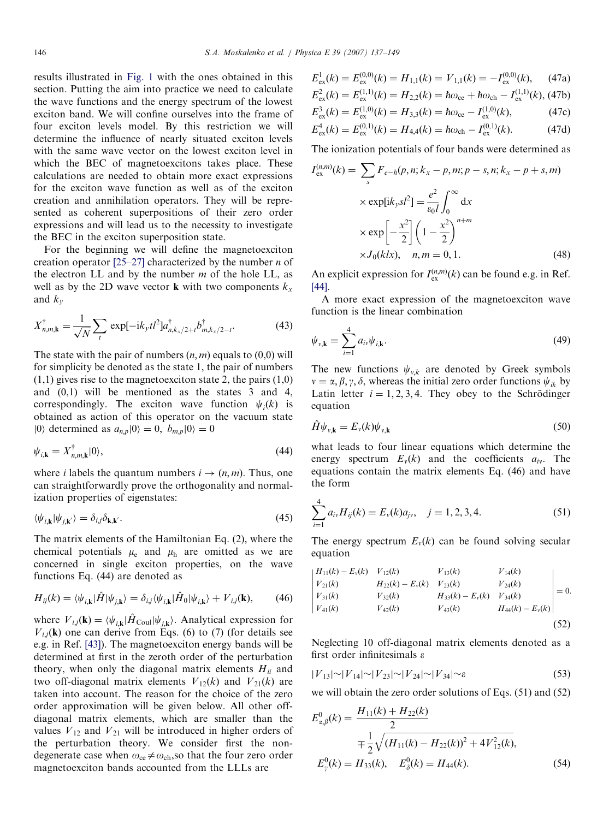results illustrated in [Fig. 1](#page-8-0) with the ones obtained in this section. Putting the aim into practice we need to calculate the wave functions and the energy spectrum of the lowest exciton band. We will confine ourselves into the frame of four exciton levels model. By this restriction we will determine the influence of nearly situated exciton levels with the same wave vector on the lowest exciton level in which the BEC of magnetoexcitons takes place. These calculations are needed to obtain more exact expressions for the exciton wave function as well as of the exciton creation and annihilation operators. They will be represented as coherent superpositions of their zero order expressions and will lead us to the necessity to investigate the BEC in the exciton superposition state.

For the beginning we will define the magnetoexciton creation operator  $[25-27]$  characterized by the number *n* of the electron LL and by the number  $m$  of the hole LL, as well as by the 2D wave vector **k** with two components  $k_x$ and  $k_v$ 

$$
X_{n,m,\mathbf{k}}^{\dagger} = \frac{1}{\sqrt{N}} \sum_{t} \exp[-ik_{y}t l^{2}] a_{n,k_{x}/2+t}^{\dagger} b_{m,k_{x}/2-t}^{\dagger}.
$$
 (43)

The state with the pair of numbers  $(n, m)$  equals to (0,0) will for simplicity be denoted as the state 1, the pair of numbers  $(1,1)$  gives rise to the magnetoexciton state 2, the pairs  $(1,0)$ and (0,1) will be mentioned as the states 3 and 4, correspondingly. The exciton wave function  $\psi_i(k)$  is obtained as action of this operator on the vacuum state  $|0\rangle$  determined as  $a_{n,p}|0\rangle = 0$ ,  $b_{m,p}|0\rangle = 0$ 

$$
\psi_{i,\mathbf{k}} = X_{n,m,\mathbf{k}}^{\dagger}|0\rangle,\tag{44}
$$

where *i* labels the quantum numbers  $i \rightarrow (n, m)$ . Thus, one can straightforwardly prove the orthogonality and normalization properties of eigenstates:

$$
\langle \psi_{i,\mathbf{k}} | \psi_{j,\mathbf{k'}} \rangle = \delta_{i,j} \delta_{\mathbf{k},\mathbf{k'}}.
$$
\n(45)

The matrix elements of the Hamiltonian Eq. (2), where the chemical potentials  $\mu_e$  and  $\mu_h$  are omitted as we are concerned in single exciton properties, on the wave functions Eq. (44) are denoted as

$$
H_{ij}(k) = \langle \psi_{i,\mathbf{k}} | \hat{H} | \psi_{j,\mathbf{k}} \rangle = \delta_{ij} \langle \psi_{i,\mathbf{k}} | \hat{H}_0 | \psi_{i,\mathbf{k}} \rangle + V_{ij}(\mathbf{k}), \tag{46}
$$

where  $V_{i,j}(\mathbf{k}) = \langle \psi_{i,\mathbf{k}} | \hat{H}_{\text{Coul}} | \psi_{j,\mathbf{k}} \rangle$ . Analytical expression for  $V_{i,j}(\mathbf{k})$  one can derive from Eqs. (6) to (7) (for details see e.g. in Ref. [\[43\]\)](#page-12-0). The magnetoexciton energy bands will be determined at first in the zeroth order of the perturbation theory, when only the diagonal matrix elements  $H_{ii}$  and two off-diagonal matrix elements  $V_{12}(k)$  and  $V_{21}(k)$  are taken into account. The reason for the choice of the zero order approximation will be given below. All other offdiagonal matrix elements, which are smaller than the values  $V_{12}$  and  $V_{21}$  will be introduced in higher orders of the perturbation theory. We consider first the nondegenerate case when  $\omega_{ce} \neq \omega_{ch}$ , so that the four zero order magnetoexciton bands accounted from the LLLs are

$$
E_{\text{ex}}^{1}(k) = E_{\text{ex}}^{(0,0)}(k) = H_{1,1}(k) = V_{1,1}(k) = -I_{\text{ex}}^{(0,0)}(k), \tag{47a}
$$

$$
E_{\text{ex}}^2(k) = E_{\text{ex}}^{(1,1)}(k) = H_{2,2}(k) = \hbar \omega_{\text{ce}} + \hbar \omega_{\text{ch}} - I_{\text{ex}}^{(1,1)}(k), \text{(47b)}
$$

$$
E_{\text{ex}}^3(k) = E_{\text{ex}}^{(1,0)}(k) = H_{3,3}(k) = \hbar \omega_{\text{ce}} - I_{\text{ex}}^{(1,0)}(k), \text{(47c)}
$$

$$
E_{\text{ex}}^{4}(k) = E_{\text{ex}}^{(0,1)}(k) = H_{4,4}(k) = \hbar \omega_{\text{ch}} - I_{\text{ex}}^{(0,1)}(k). \tag{47d}
$$

The ionization potentials of four bands were determined as

$$
I_{\text{ex}}^{(n,m)}(k) = \sum_{s} F_{e-h}(p, n; k_x - p, m; p - s, n; k_x - p + s, m)
$$
  
 
$$
\times \exp\left[i k_y s l^2\right] = \frac{e^2}{\epsilon_0 l} \int_0^\infty dx
$$
  
 
$$
\times \exp\left[-\frac{x^2}{2}\right] \left(1 - \frac{x^2}{2}\right)^{n+m}
$$
  
 
$$
\times J_0(k/x), \quad n, m = 0, 1. \tag{48}
$$

An explicit expression for  $I_{\text{ev}}^{(n,m)}(k)$  can be found e.g. in Ref. [\[44\]](#page-12-0).

A more exact expression of the magnetoexciton wave function is the linear combination

$$
\psi_{v,\mathbf{k}} = \sum_{i=1}^{4} a_{iv} \psi_{i,\mathbf{k}}.
$$
\n(49)

The new functions  $\psi_{v,k}$  are denoted by Greek symbols  $v = \alpha, \beta, \gamma, \delta$ , whereas the initial zero order functions  $\psi_{ik}$  by Latin letter  $i = 1, 2, 3, 4$ . They obey to the Schrödinger equation

$$
\hat{H}\psi_{v,\mathbf{k}} = E_v(k)\psi_{v,\mathbf{k}} \tag{50}
$$

what leads to four linear equations which determine the energy spectrum  $E_v(k)$  and the coefficients  $a_{iv}$ . The equations contain the matrix elements Eq. (46) and have the form

$$
\sum_{i=1}^{4} a_{iv} H_{ij}(k) = E_v(k) a_{jv}, \quad j = 1, 2, 3, 4.
$$
 (51)

The energy spectrum  $E_y(k)$  can be found solving secular equation

$$
\begin{vmatrix} H_{11}(k) - E_v(k) & V_{12}(k) & V_{13}(k) & V_{14}(k) \ V_{21}(k) & H_{22}(k) - E_v(k) & V_{23}(k) & V_{24}(k) \ V_{31}(k) & V_{32}(k) & H_{33}(k) - E_v(k) & V_{34}(k) \ V_{41}(k) & V_{42}(k) & V_{43}(k) & H_{44}(k) - E_v(k) \ \end{vmatrix} = 0.
$$
\n(52)

Neglecting 10 off-diagonal matrix elements denoted as a first order infinitesimals  $\varepsilon$ 

$$
|V_{13}|\sim |V_{14}|\sim |V_{23}|\sim |V_{24}|\sim |V_{34}|\sim \varepsilon
$$
\n(53)

we will obtain the zero order solutions of Eqs. (51) and (52)

$$
E_{\alpha,\beta}^{0}(k) = \frac{H_{11}(k) + H_{22}(k)}{2}
$$
  
\n
$$
= \frac{1}{2} \sqrt{(H_{11}(k) - H_{22}(k))^{2} + 4V_{12}^{2}(k)},
$$
  
\n
$$
E_{\gamma}^{0}(k) = H_{33}(k), \quad E_{\delta}^{0}(k) = H_{44}(k).
$$
 (54)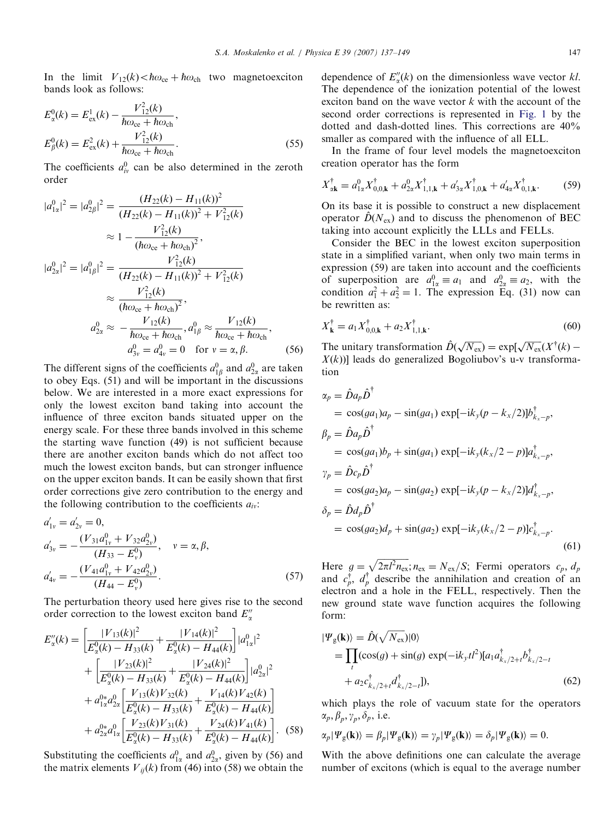In the limit  $V_{12}(k) < \hbar \omega_{ce} + \hbar \omega_{ch}$  two magnetoexciton bands look as follows:

$$
E_{\alpha}^{0}(k) = E_{\text{ex}}^{1}(k) - \frac{V_{12}^{2}(k)}{\hbar \omega_{\text{ce}} + \hbar \omega_{\text{ch}}},
$$
  
\n
$$
E_{\beta}^{0}(k) = E_{\text{ex}}^{2}(k) + \frac{V_{12}^{2}(k)}{\hbar \omega_{\text{ce}} + \hbar \omega_{\text{ch}}}. \tag{55}
$$

The coefficients  $a_{iv}^0$  can be also determined in the zeroth order

$$
|a_{1\alpha}^0|^2 = |a_{2\beta}^0|^2 = \frac{(H_{22}(k) - H_{11}(k))^2}{(H_{22}(k) - H_{11}(k))^2 + V_{12}^2(k)}
$$
  
\n
$$
\approx 1 - \frac{V_{12}^2(k)}{(h\omega_{ce} + h\omega_{ch})^2},
$$
  
\n
$$
|a_{2\alpha}^0|^2 = |a_{1\beta}^0|^2 = \frac{V_{12}^2(k)}{(H_{22}(k) - H_{11}(k))^2 + V_{12}^2(k)}
$$
  
\n
$$
\approx \frac{V_{12}^2(k)}{(h\omega_{ce} + h\omega_{ch})^2},
$$
  
\n
$$
a_{2\alpha}^0 \approx -\frac{V_{12}(k)}{h\omega_{ce} + h\omega_{ch}}, a_{1\beta}^0 \approx \frac{V_{12}(k)}{h\omega_{ce} + h\omega_{ch}},
$$
  
\n
$$
a_{3\nu}^0 = a_{4\nu}^0 = 0 \text{ for } \nu = \alpha, \beta.
$$
 (56)

The different signs of the coefficients  $a_{1\beta}^0$  and  $a_{2\alpha}^0$  are taken to obey Eqs. (51) and will be important in the discussions below. We are interested in a more exact expressions for only the lowest exciton band taking into account the influence of three exciton bands situated upper on the energy scale. For these three bands involved in this scheme the starting wave function (49) is not sufficient because there are another exciton bands which do not affect too much the lowest exciton bands, but can stronger influence on the upper exciton bands. It can be easily shown that first order corrections give zero contribution to the energy and the following contribution to the coefficients  $a_{iv}$ :

$$
a'_{1v} = a'_{2v} = 0,
$$
  
\n
$$
a'_{3v} = -\frac{(V_{31}a_{1v}^0 + V_{32}a_{2v}^0)}{(H_{33} - E_v^0)}, \quad v = \alpha, \beta,
$$
  
\n
$$
a'_{4v} = -\frac{(V_{41}a_{1v}^0 + V_{42}a_{2v}^0)}{(H_{44} - E_v^0)}.
$$
\n(57)

The perturbation theory used here gives rise to the second order correction to the lowest exciton band  $E''_{\alpha}$ 

$$
E''_{\alpha}(k) = \left[\frac{|V_{13}(k)|^2}{E^0_{\alpha}(k) - H_{33}(k)} + \frac{|V_{14}(k)|^2}{E^0_{\alpha}(k) - H_{44}(k)}\right] |a^0_{1\alpha}|^2
$$
  
+ 
$$
\left[\frac{|V_{23}(k)|^2}{E^0_{\alpha}(k) - H_{33}(k)} + \frac{|V_{24}(k)|^2}{E^0_{\alpha}(k) - H_{44}(k)}\right] |a^0_{2\alpha}|^2
$$
  
+ 
$$
a^{0*}_{1\alpha}a^{0}_{2\alpha}\left[\frac{V_{13}(k)V_{32}(k)}{E^0_{\alpha}(k) - H_{33}(k)} + \frac{V_{14}(k)V_{42}(k)}{E^0_{\alpha}(k) - H_{44}(k)}\right]
$$
  
+ 
$$
a^{0*}_{2\alpha}a^0_{1\alpha}\left[\frac{V_{23}(k)V_{31}(k)}{E^0_{\alpha}(k) - H_{33}(k)} + \frac{V_{24}(k)V_{41}(k)}{E^0_{\alpha}(k) - H_{44}(k)}\right].
$$
 (58)

Substituting the coefficients  $a_{1\alpha}^0$  and  $a_{2\alpha}^0$ , given by (56) and the matrix elements  $V_{ij}(k)$  from (46) into (58) we obtain the

dependence of  $E''_{\alpha}(k)$  on the dimensionless wave vector kl. The dependence of the ionization potential of the lowest exciton band on the wave vector  $k$  with the account of the second order corrections is represented in [Fig. 1](#page-8-0) by the dotted and dash-dotted lines. This corrections are 40% smaller as compared with the influence of all ELL.

In the frame of four level models the magnetoexciton creation operator has the form

$$
X_{\alpha\mathbf{k}}^{\dagger} = a_{1\alpha}^0 X_{0,0,\mathbf{k}}^{\dagger} + a_{2\alpha}^0 X_{1,1,\mathbf{k}}^{\dagger} + a_{3\alpha}^{\prime} X_{1,0,\mathbf{k}}^{\dagger} + a_{4\alpha}^{\prime} X_{0,1,\mathbf{k}}^{\dagger}.
$$
 (59)

On its base it is possible to construct a new displacement operator  $\hat{D}(N_{ex})$  and to discuss the phenomenon of BEC taking into account explicitly the LLLs and FELLs.

Consider the BEC in the lowest exciton superposition state in a simplified variant, when only two main terms in expression (59) are taken into account and the coefficients of superposition are  $a_{1\alpha}^0 \equiv a_1$  and  $a_{2\alpha}^0 \equiv a_2$ , with the condition  $a_1^2 + a_2^2 = 1$ . The expression Eq. (31) now can be rewritten as:

$$
X_{\mathbf{k}}^{\dagger} = a_1 X_{0,0,\mathbf{k}}^{\dagger} + a_2 X_{1,1,\mathbf{k}}^{\dagger}.
$$
 (60)

The unitary transformation  $\hat{D}(\sqrt{N_{\text{ex}}}) = \exp[\sqrt{N_{\text{ex}}}(X^{\dagger}(k) X(k)$ ] leads do generalized Bogoliubov's u-v transformation

$$
\alpha_p = \hat{D}a_p \hat{D}^{\dagger}
$$
  
\n
$$
= \cos(ga_1)a_p - \sin(ga_1) \exp[-ik_y(p - k_x/2)]b^{\dagger}_{k_x - p},
$$
  
\n
$$
\beta_p = \hat{D}a_p \hat{D}^{\dagger}
$$
  
\n
$$
= \cos(ga_1)b_p + \sin(ga_1) \exp[-ik_y(k_x/2 - p)]a^{\dagger}_{k_x - p},
$$
  
\n
$$
\gamma_p = \hat{D}c_p \hat{D}^{\dagger}
$$
  
\n
$$
= \cos(ga_2)a_p - \sin(ga_2) \exp[-ik_y(p - k_x/2)]d^{\dagger}_{k_x - p},
$$
  
\n
$$
\delta_p = \hat{D}d_p \hat{D}^{\dagger}
$$
  
\n
$$
= \cos(ga_2)d_p + \sin(ga_2) \exp[-ik_y(k_x/2 - p)]c^{\dagger}_{k_x - p}.
$$
  
\n(61)

Here  $g = \sqrt{2\pi l^2 n_{\text{ex}}}; n_{\text{ex}} = N_{\text{ex}}/S;$  Fermi operators  $c_p, d_p$ and  $c_p^{\dagger}$ ,  $d_p^{\dagger}$  describe the annihilation and creation of an electron and a hole in the FELL, respectively. Then the new ground state wave function acquires the following form:

$$
|\Psi_{g}(\mathbf{k})\rangle = \hat{D}(\sqrt{N_{ex}})|0\rangle
$$
  
=  $\prod_{t}(\cos(g) + \sin(g) \exp(-ik_{y}t^{2}) [a_{1}a_{k_{x}/2+t}^{\dagger}b_{k_{x}/2-t}^{\dagger} + a_{2}c_{k_{x}/2+t}^{\dagger}d_{k_{x}/2-t}^{\dagger}]),$  (62)

which plays the role of vacuum state for the operators  $\alpha_p, \beta_p, \gamma_p, \delta_p$ , i.e.

$$
\alpha_p |\Psi_{\rm g}(\mathbf{k})\rangle = \beta_p |\Psi_{\rm g}(\mathbf{k})\rangle = \gamma_p |\Psi_{\rm g}(\mathbf{k})\rangle = \delta_p |\Psi_{\rm g}(\mathbf{k})\rangle = 0.
$$

With the above definitions one can calculate the average number of excitons (which is equal to the average number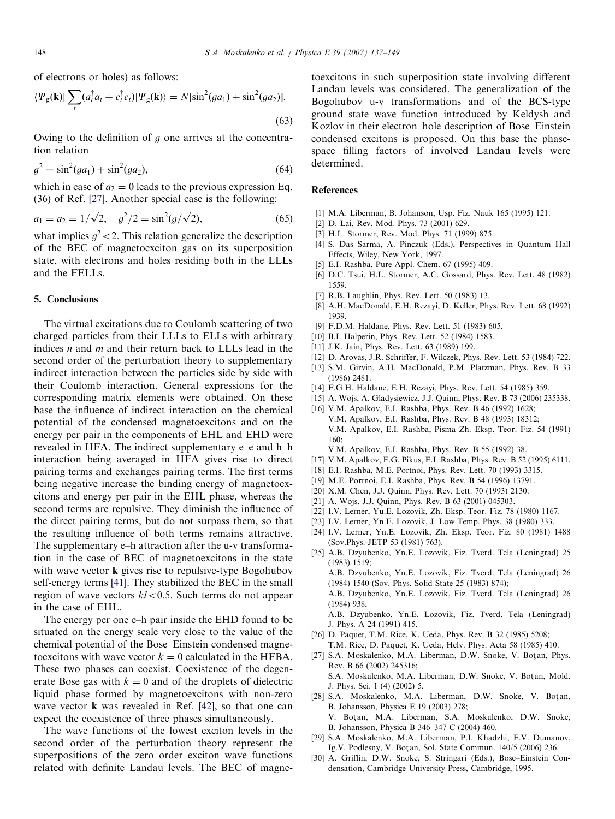<span id="page-11-0"></span>of electrons or holes) as follows:

$$
\langle \Psi_{\mathbf{g}}(\mathbf{k})| \sum_{l} (a_{l}^{\dagger} a_{l} + c_{l}^{\dagger} c_{l}) | \Psi_{\mathbf{g}}(\mathbf{k}) \rangle = N[\sin^{2}(ga_{1}) + \sin^{2}(ga_{2})].
$$
\n(63)

Owing to the definition of  $g$  one arrives at the concentration relation

$$
g^2 = \sin^2(ga_1) + \sin^2(ga_2),\tag{64}
$$

which in case of  $a_2 = 0$  leads to the previous expression Eq. (36) of Ref. [27]. Another special case is the following:

$$
a_1 = a_2 = 1/\sqrt{2}, \quad g^2/2 = \sin^2(g/\sqrt{2}), \tag{65}
$$

what implies  $q^2 < 2$ . This relation generalize the description of the BEC of magnetoexciton gas on its superposition state, with electrons and holes residing both in the LLLs and the FELLs.

## 5. Conclusions

The virtual excitations due to Coulomb scattering of two charged particles from their LLLs to ELLs with arbitrary indices  $n$  and  $m$  and their return back to LLLs lead in the second order of the perturbation theory to supplementary indirect interaction between the particles side by side with their Coulomb interaction. General expressions for the corresponding matrix elements were obtained. On these base the influence of indirect interaction on the chemical potential of the condensed magnetoexcitons and on the energy per pair in the components of EHL and EHD were revealed in HFA. The indirect supplementary e–e and h–h interaction being averaged in HFA gives rise to direct pairing terms and exchanges pairing terms. The first terms being negative increase the binding energy of magnetoexcitons and energy per pair in the EHL phase, whereas the second terms are repulsive. They diminish the influence of the direct pairing terms, but do not surpass them, so that the resulting influence of both terms remains attractive. The supplementary e–h attraction after the u-v transformation in the case of BEC of magnetoexcitons in the state with wave vector **k** gives rise to repulsive-type Bogoliubov self-energy terms [\[41\].](#page-12-0) They stabilized the BEC in the small region of wave vectors  $kl < 0.5$ . Such terms do not appear in the case of EHL.

The energy per one e–h pair inside the EHD found to be situated on the energy scale very close to the value of the chemical potential of the Bose–Einstein condensed magnetoexcitons with wave vector  $k = 0$  calculated in the HFBA. These two phases can coexist. Coexistence of the degenerate Bose gas with  $k = 0$  and of the droplets of dielectric liquid phase formed by magnetoexcitons with non-zero wave vector **k** was revealed in Ref. [\[42\],](#page-12-0) so that one can expect the coexistence of three phases simultaneously.

The wave functions of the lowest exciton levels in the second order of the perturbation theory represent the superpositions of the zero order exciton wave functions related with definite Landau levels. The BEC of magnetoexcitons in such superposition state involving different Landau levels was considered. The generalization of the Bogoliubov u-v transformations and of the BCS-type ground state wave function introduced by Keldysh and Kozlov in their electron–hole description of Bose–Einstein condensed excitons is proposed. On this base the phasespace filling factors of involved Landau levels were determined.

#### References

- [1] M.A. Liberman, B. Johanson, Usp. Fiz. Nauk 165 (1995) 121.
- [2] D. Lai, Rev. Mod. Phys. 73 (2001) 629.
- [3] H.L. Stormer, Rev. Mod. Phys. 71 (1999) 875.
- [4] S. Das Sarma, A. Pinczuk (Eds.), Perspectives in Quantum Hall Effects, Wiley, New York, 1997.
- [5] E.I. Rashba, Pure Appl. Chem. 67 (1995) 409.
- [6] D.C. Tsui, H.L. Stormer, A.C. Gossard, Phys. Rev. Lett. 48 (1982) 1559.
- [7] R.B. Laughlin, Phys. Rev. Lett. 50 (1983) 13.
- [8] A.H. MacDonald, E.H. Rezayi, D. Keller, Phys. Rev. Lett. 68 (1992) 1939.
- [9] F.D.M. Haldane, Phys. Rev. Lett. 51 (1983) 605.
- [10] B.I. Halperin, Phys. Rev. Lett. 52 (1984) 1583.
- [11] J.K. Jain, Phys. Rev. Lett. 63 (1989) 199.
- [12] D. Arovas, J.R. Schriffer, F. Wilczek, Phys. Rev. Lett. 53 (1984) 722.
- [13] S.M. Girvin, A.H. MacDonald, P.M. Platzman, Phys. Rev. B 33 (1986) 2481.
- [14] F.G.H. Haldane, E.H. Rezayi, Phys. Rev. Lett. 54 (1985) 359.
- [15] A. Wojs, A. Gladysiewicz, J.J. Quinn, Phys. Rev. B 73 (2006) 235338.
- [16] V.M. Apalkov, E.I. Rashba, Phys. Rev. B 46 (1992) 1628; V.M. Apalkov, E.I. Rashba, Phys. Rev. B 48 (1993) 18312; V.M. Apalkov, E.I. Rashba, Pisma Zh. Eksp. Teor. Fiz. 54 (1991) 160;
	- V.M. Apalkov, E.I. Rashba, Phys. Rev. B 55 (1992) 38.
- [17] V.M. Apalkov, F.G. Pikus, E.I. Rashba, Phys. Rev. B 52 (1995) 6111.
- [18] E.I. Rashba, M.E. Portnoi, Phys. Rev. Lett. 70 (1993) 3315.
- [19] M.E. Portnoi, E.I. Rashba, Phys. Rev. B 54 (1996) 13791.
- [20] X.M. Chen, J.J. Quinn, Phys. Rev. Lett. 70 (1993) 2130.
- [21] A. Wojs, J.J. Quinn, Phys. Rev. B 63 (2001) 045303.
- [22] I.V. Lerner, Yu.E. Lozovik, Zh. Eksp. Teor. Fiz. 78 (1980) 1167.
- [23] I.V. Lerner, Yn.E. Lozovik, J. Low Temp. Phys. 38 (1980) 333.
- [24] I.V. Lerner, Yn.E. Lozovik, Zh. Eksp. Teor. Fiz. 80 (1981) 1488 (Sov.Phys.-JETP 53 (1981) 763).
- [25] A.B. Dzyubenko, Yn.E. Lozovik, Fiz. Tverd. Tela (Leningrad) 25 (1983) 1519; A.B. Dzyubenko, Yn.E. Lozovik, Fiz. Tverd. Tela (Leningrad) 26 (1984) 1540 (Sov. Phys. Solid State 25 (1983) 874); A.B. Dzyubenko, Yn.E. Lozovik, Fiz. Tverd. Tela (Leningrad) 26 (1984) 938; A.B. Dzyubenko, Yn.E. Lozovik, Fiz. Tverd. Tela (Leningrad) J. Phys. A 24 (1991) 415.
- [26] D. Paquet, T.M. Rice, K. Ueda, Phys. Rev. B 32 (1985) 5208;
- T.M. Rice, D. Paquet, K. Ueda, Helv. Phys. Acta 58 (1985) 410. [27] S.A. Moskalenko, M.A. Liberman, D.W. Snoke, V. Botan, Phys. Rev. B 66 (2002) 245316; S.A. Moskalenko, M.A. Liberman, D.W. Snoke, V. Botan, Mold. J. Phys. Sci. 1 (4) (2002) 5.
- [28] S.A. Moskalenko, M.A. Liberman, D.W. Snoke, V. Botan, B. Johansson, Physica E 19 (2003) 278; V. Botan, M.A. Liberman, S.A. Moskalenko, D.W. Snoke, B. Johansson, Physica B 346–347 C (2004) 460.
- [29] S.A. Moskalenko, M.A. Liberman, P.I. Khadzhi, E.V. Dumanov, Ig.V. Podlesny, V. Botan, Sol. State Commun. 140/5 (2006) 236.
- [30] A. Griffin, D.W. Snoke, S. Stringari (Eds.), Bose–Einstein Condensation, Cambridge University Press, Cambridge, 1995.